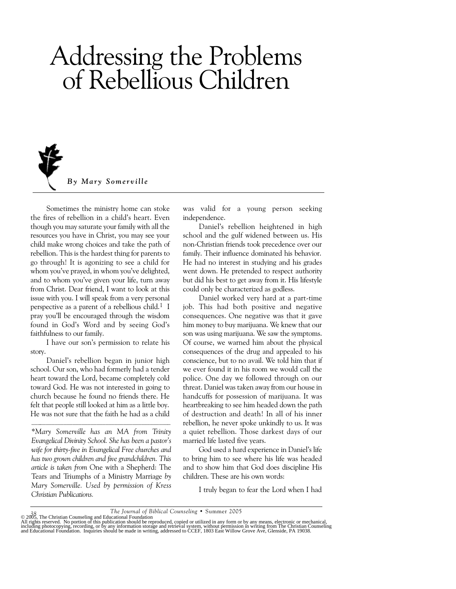# Addressing the Problems of Rebellious Children



Sometimes the ministry home can stoke the fires of rebellion in a child's heart. Even though you may saturate your family with all the resources you have in Christ, you may see your child make wrong choices and take the path of rebellion. This is the hardest thing for parents to go through! It is agonizing to see a child for whom you've prayed, in whom you've delighted, and to whom you've given your life, turn away from Christ. Dear friend, I want to look at this issue with you. I will speak from a very personal perspective as a parent of a rebellious child.<sup>1</sup> I pray you'll be encouraged through the wisdom found in God's Word and by seeing God's faithfulness to our family.

I have our son's permission to relate his story.

Daniel's rebellion began in junior high school. Our son, who had formerly had a tender heart toward the Lord, became completely cold toward God. He was not interested in going to church because he found no friends there. He felt that people still looked at him as a little boy. He was not sure that the faith he had as a child

*\*Mary Somerville has an MA from Trinity Evangelical Divinity School. She has been a pastor's wife for thirty-five in Evangelical Free churches and has two grown children and five grandchildren. This article is taken from* One with a Shepherd: The Tears and Triumphs of a Ministry Marriage *by Mary Somerville. Used by permission of Kress Christian Publications.*

was valid for a young person seeking independence.

Daniel's rebellion heightened in high school and the gulf widened between us. His non-Christian friends took precedence over our family. Their influence dominated his behavior. He had no interest in studying and his grades went down. He pretended to respect authority but did his best to get away from it. His lifestyle could only be characterized as godless.

Daniel worked very hard at a part-time job. This had both positive and negative consequences. One negative was that it gave him money to buy marijuana. We knew that our son was using marijuana. We saw the symptoms. Of course, we warned him about the physical consequences of the drug and appealed to his conscience, but to no avail. We told him that if we ever found it in his room we would call the police. One day we followed through on our threat. Daniel was taken away from our house in handcuffs for possession of marijuana. It was heartbreaking to see him headed down the path of destruction and death! In all of his inner rebellion, he never spoke unkindly to us. It was a quiet rebellion. Those darkest days of our married life lasted five years.

God used a hard experience in Daniel's life to bring him to see where his life was headed and to show him that God does discipline His children. These are his own words:

I truly began to fear the Lord when I had

<sup>38&</sup>lt;br>
The Journal of Biblical Counseling • Summer 2005<br>
All rights reserved. No portion of this publication should be reproduced, copied or utilized in any form or by any means, electronic or mechanical,<br>
All rights reserved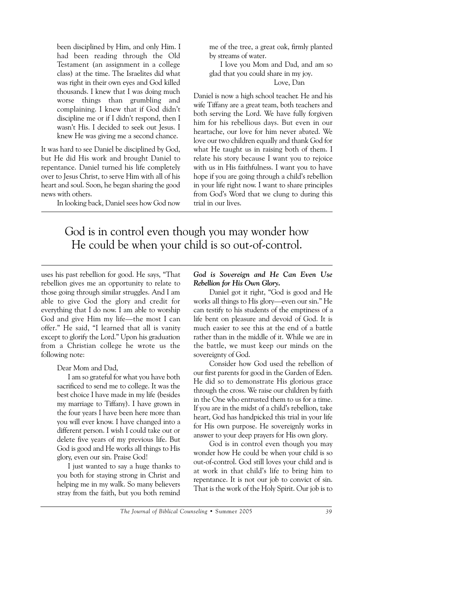been disciplined by Him, and only Him. I had been reading through the Old Testament (an assignment in a college class) at the time. The Israelites did what was right in their own eyes and God killed thousands. I knew that I was doing much worse things than grumbling and complaining. I knew that if God didn't discipline me or if I didn't respond, then I wasn't His. I decided to seek out Jesus. I knew He was giving me a second chance.

It was hard to see Daniel be disciplined by God, but He did His work and brought Daniel to repentance. Daniel turned his life completely over to Jesus Christ, to serve Him with all of his heart and soul. Soon, he began sharing the good news with others.

In looking back, Daniel sees how God now

me of the tree, a great oak, firmly planted by streams of water.

I love you Mom and Dad, and am so glad that you could share in my joy.

### Love, Dan

Daniel is now a high school teacher. He and his wife Tiffany are a great team, both teachers and both serving the Lord. We have fully forgiven him for his rebellious days. But even in our heartache, our love for him never abated. We love our two children equally and thank God for what He taught us in raising both of them. I relate his story because I want you to rejoice with us in His faithfulness. I want you to have hope if you are going through a child's rebellion in your life right now. I want to share principles from God's Word that we clung to during this trial in our lives.

# God is in control even though you may wonder how He could be when your child is so out-of-control.

uses his past rebellion for good. He says, "That rebellion gives me an opportunity to relate to those going through similar struggles. And I am able to give God the glory and credit for everything that I do now. I am able to worship God and give Him my life—the most I can offer." He said, "I learned that all is vanity except to glorify the Lord." Upon his graduation from a Christian college he wrote us the following note:

# Dear Mom and Dad,

I am so grateful for what you have both sacrificed to send me to college. It was the best choice I have made in my life (besides my marriage to Tiffany). I have grown in the four years I have been here more than you will ever know. I have changed into a different person. I wish I could take out or delete five years of my previous life. But God is good and He works all things to His glory, even our sin. Praise God!

I just wanted to say a huge thanks to you both for staying strong in Christ and helping me in my walk. So many believers stray from the faith, but you both remind

### *God is Sovereign and He Can Even Use Rebellion for His Own Glory.*

Daniel got it right, "God is good and He works all things to His glory—even our sin." He can testify to his students of the emptiness of a life bent on pleasure and devoid of God. It is much easier to see this at the end of a battle rather than in the middle of it. While we are in the battle, we must keep our minds on the sovereignty of God.

Consider how God used the rebellion of our first parents for good in the Garden of Eden. He did so to demonstrate His glorious grace through the cross. We raise our children by faith in the One who entrusted them to us for a time. If you are in the midst of a child's rebellion, take heart, God has handpicked this trial in your life for His own purpose. He sovereignly works in answer to your deep prayers for His own glory.

God is in control even though you may wonder how He could be when your child is so out-of-control. God still loves your child and is at work in that child's life to bring him to repentance. It is not our job to convict of sin. That is the work of the Holy Spirit. Our job is to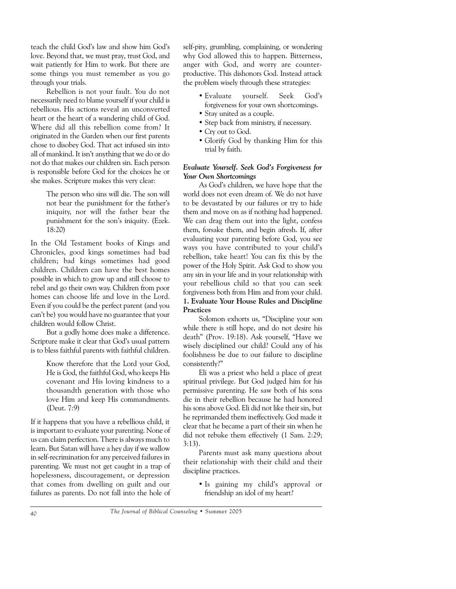teach the child God's law and show him God's love. Beyond that, we must pray, trust God, and wait patiently for Him to work. But there are some things you must remember as you go through your trials.

Rebellion is not your fault. You do not necessarily need to blame yourself if your child is rebellious. His actions reveal an unconverted heart or the heart of a wandering child of God. Where did all this rebellion come from? It originated in the Garden when our first parents chose to disobey God. That act infused sin into all of mankind. It isn't anything that we do or do not do that makes our children sin. Each person is responsible before God for the choices he or she makes. Scripture makes this very clear:

> The person who sins will die. The son will not bear the punishment for the father's iniquity, nor will the father bear the punishment for the son's iniquity. (Ezek. 18:20)

In the Old Testament books of Kings and Chronicles, good kings sometimes had bad children; bad kings sometimes had good children. Children can have the best homes possible in which to grow up and still choose to rebel and go their own way. Children from poor homes can choose life and love in the Lord. Even if you could be the perfect parent (and you can't be) you would have no guarantee that your children would follow Christ.

But a godly home does make a difference. Scripture make it clear that God's usual pattern is to bless faithful parents with faithful children.

> Know therefore that the Lord your God, He is God, the faithful God, who keeps His covenant and His loving kindness to a thousandth generation with those who love Him and keep His commandments. (Deut. 7:9)

If it happens that you have a rebellious child, it is important to evaluate your parenting. None of us can claim perfection. There is always much to learn. But Satan will have a hey day if we wallow in self-recrimination for any perceived failures in parenting. We must not get caught in a trap of hopelessness, discouragement, or depression that comes from dwelling on guilt and our failures as parents. Do not fall into the hole of self-pity, grumbling, complaining, or wondering why God allowed this to happen. Bitterness, anger with God, and worry are counterproductive. This dishonors God. Instead attack the problem wisely through these strategies:

- Evaluate yourself. Seek God's forgiveness for your own shortcomings.
- Stay united as a couple.
- Step back from ministry, if necessary.
- Cry out to God.
- Glorify God by thanking Him for this trial by faith.

### *Evaluate Yourself. Seek God's Forgiveness for Your Own Shortcomings*

As God's children, we have hope that the world does not even dream of. We do not have to be devastated by our failures or try to hide them and move on as if nothing had happened. We can drag them out into the light, confess them, forsake them, and begin afresh. If, after evaluating your parenting before God, you see ways you have contributed to your child's rebellion, take heart! You can fix this by the power of the Holy Spirit. Ask God to show you any sin in your life and in your relationship with your rebellious child so that you can seek forgiveness both from Him and from your child. **1. Evaluate Your House Rules and Discipline Practices**

Solomon exhorts us, "Discipline your son while there is still hope, and do not desire his death" (Prov. 19:18). Ask yourself, "Have we wisely disciplined our child? Could any of his foolishness be due to our failure to discipline consistently?"

Eli was a priest who held a place of great spiritual privilege. But God judged him for his permissive parenting. He saw both of his sons die in their rebellion because he had honored his sons above God. Eli did not like their sin, but he reprimanded them ineffectively. God made it clear that he became a part of their sin when he did not rebuke them effectively (1 Sam. 2:29; 3:13).

Parents must ask many questions about their relationship with their child and their discipline practices.

> • Is gaining my child's approval or friendship an idol of my heart?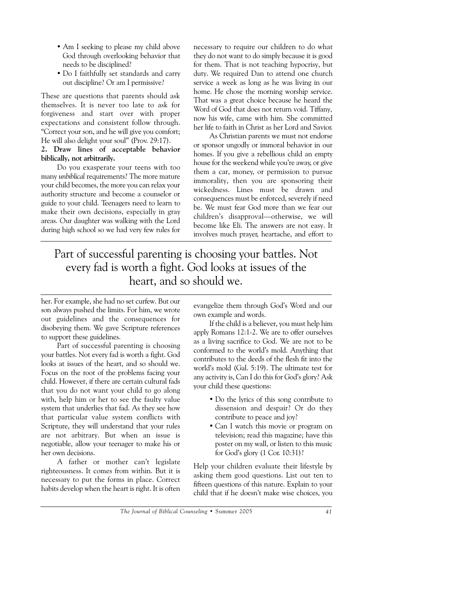- Am I seeking to please my child above God through overlooking behavior that needs to be disciplined?
- Do I faithfully set standards and carry out discipline? Or am I permissive?

These are questions that parents should ask themselves. It is never too late to ask for forgiveness and start over with proper expectations and consistent follow through. "Correct your son, and he will give you comfort; He will also delight your soul" (Prov. 29:17).

### **2. Draw lines of acceptable behavior biblically, not arbitrarily.**

Do you exasperate your teens with too many *unbiblical* requirements? The more mature your child becomes, the more you can relax your authority structure and become a counselor or guide to your child. Teenagers need to learn to make their own decisions, especially in gray areas. Our daughter was walking with the Lord during high school so we had very few rules for necessary to require our children to do what they do not want to do simply because it is good for them. That is not teaching hypocrisy, but duty. We required Dan to attend one church service a week as long as he was living in our home. He chose the morning worship service. That was a great choice because he heard the Word of God that does not return void. Tiffany, now his wife, came with him. She committed her life to faith in Christ as her Lord and Savior.

As Christian parents we must not endorse or sponsor ungodly or immoral behavior in our homes. If you give a rebellious child an empty house for the weekend while you're away, or give them a car, money, or permission to pursue immorality, then you are sponsoring their wickedness. Lines must be drawn and consequences must be enforced, severely if need be. We must fear God more than we fear our children's disapproval—otherwise, we will become like Eli. The answers are not easy. It involves much prayer, heartache, and effort to

# Part of successful parenting is choosing your battles. Not every fad is worth a fight. God looks at issues of the heart, and so should we.

her. For example, she had no set curfew. But our son always pushed the limits. For him, we wrote out guidelines and the consequences for disobeying them. We gave Scripture references to support these guidelines.

Part of successful parenting is choosing your battles. Not every fad is worth a fight. God looks at issues of the heart, and so should we. Focus on the root of the problems facing your child. However, if there are certain cultural fads that you do not want your child to go along with, help him or her to see the faulty value system that underlies that fad. As they see how that particular value system conflicts with Scripture, they will understand that your rules are not arbitrary. But when an issue is negotiable, allow your teenager to make his or her own decisions.

A father or mother can't legislate righteousness. It comes from within. But it is necessary to put the forms in place. Correct habits develop when the heart is right. It is often evangelize them through God's Word and our own example and words.

If the child is a believer, you must help him apply Romans 12:1-2. We are to offer ourselves as a living sacrifice to God. We are not to be conformed to the world's mold. Anything that contributes to the deeds of the flesh fit into the world's mold (Gal. 5:19). The ultimate test for any activity is, Can I do this for God's glory? Ask your child these questions:

- Do the lyrics of this song contribute to dissension and despair? Or do they contribute to peace and joy?
- Can I watch this movie or program on television; read this magazine; have this poster on my wall, or listen to this music for God's glory (1 Cor. 10:31)?

Help your children evaluate their lifestyle by asking them good questions. List out ten to fifteen questions of this nature. Explain to your child that if he doesn't make wise choices, you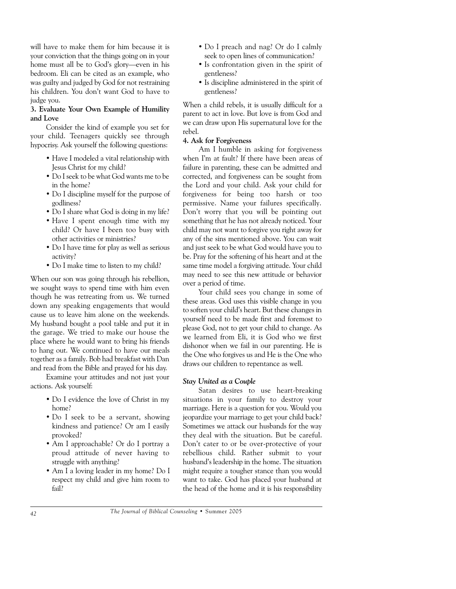will have to make them for him because it is your conviction that the things going on in your home must all be to God's glory—even in his bedroom. Eli can be cited as an example, who was guilty and judged by God for not restraining his children. You don't want God to have to judge you.

### **3. Evaluate Your Own Example of Humility and Love**

Consider the kind of example you set for your child. Teenagers quickly see through hypocrisy. Ask yourself the following questions:

- Have I modeled a vital relationship with Jesus Christ for my child?
- Do I seek to be what God wants me to be in the home?
- Do I discipline myself for the purpose of godliness?
- Do I share what God is doing in my life?
- Have I spent enough time with my child? Or have I been too busy with other activities or ministries?
- Do I have time for play as well as serious activity?
- Do I make time to listen to my child?

When our son was going through his rebellion, we sought ways to spend time with him even though he was retreating from us. We turned down any speaking engagements that would cause us to leave him alone on the weekends. My husband bought a pool table and put it in the garage. We tried to make our house the place where he would want to bring his friends to hang out. We continued to have our meals together as a family. Bob had breakfast with Dan and read from the Bible and prayed for his day.

Examine your attitudes and not just your actions. Ask yourself:

- Do I evidence the love of Christ in my home?
- Do I seek to be a servant, showing kindness and patience? Or am I easily provoked?
- Am I approachable? Or do I portray a proud attitude of never having to struggle with anything?
- Am I a loving leader in my home? Do I respect my child and give him room to fail?
- Do I preach and nag? Or do I calmly seek to open lines of communication?
- Is confrontation given in the spirit of gentleness?
- Is discipline administered in the spirit of gentleness?

When a child rebels, it is usually difficult for a parent to act in love. But love is from God and we can draw upon His supernatural love for the rebel.

### **4. Ask for Forgiveness**

Am I humble in asking for forgiveness when I'm at fault? If there have been areas of failure in parenting, these can be admitted and corrected, and forgiveness can be sought from the Lord and your child. Ask your child for forgiveness for being too harsh or too permissive. Name your failures specifically. Don't worry that you will be pointing out something that he has not already noticed. Your child may not want to forgive you right away for any of the sins mentioned above. You can wait and just seek to be what God would have you to be. Pray for the softening of his heart and at the same time model a forgiving attitude. Your child may need to see this new attitude or behavior over a period of time.

Your child sees you change in some of these areas. God uses this visible change in you to soften your child's heart. But these changes in yourself need to be made first and foremost to please God, not to get your child to change. As we learned from Eli, it is God who we first dishonor when we fail in our parenting. He is the One who forgives us and He is the One who draws our children to repentance as well.

# *Stay United as a Couple*

Satan desires to use heart-breaking situations in your family to destroy your marriage. Here is a question for you. Would you jeopardize your marriage to get your child back? Sometimes we attack our husbands for the way they deal with the situation. But be careful. Don't cater to or be over-protective of your rebellious child. Rather submit to your husband's leadership in the home. The situation might require a tougher stance than you would want to take. God has placed your husband at the head of the home and it is his responsibility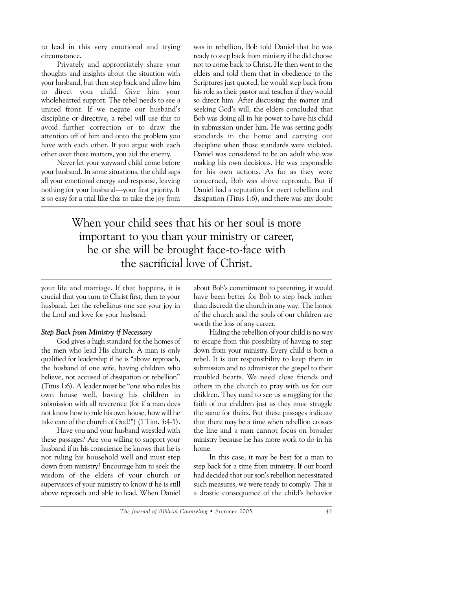to lead in this very emotional and trying circumstance.

Privately and appropriately share your thoughts and insights about the situation with your husband, but then step back and allow him to direct your child. Give him your wholehearted support. The rebel needs to see a united front. If we negate our husband's discipline or directive, a rebel will use this to avoid further correction or to draw the attention off of him and onto the problem you have with each other. If you argue with each other over these matters, you aid the enemy.

Never let your wayward child come before your husband. In some situations, the child saps all your emotional energy and response, leaving nothing for your husband—your first priority. It is so easy for a trial like this to take the joy from was in rebellion, Bob told Daniel that he was ready to step back from ministry if he did choose not to come back to Christ. He then went to the elders and told them that in obedience to the Scriptures just quoted, he would step back from his role as their pastor and teacher if they would so direct him. After discussing the matter and seeking God's will, the elders concluded that Bob was doing all in his power to have his child in submission under him. He was setting godly standards in the home and carrying out discipline when those standards were violated. Daniel was considered to be an adult who was making his own decisions. He was responsible for his own actions. As far as they were concerned, Bob was above reproach. But if Daniel had a reputation for overt rebellion and dissipation (Titus 1:6), and there was any doubt

When your child sees that his or her soul is more important to you than your ministry or career, he or she will be brought face-to-face with the sacrificial love of Christ.

your life and marriage. If that happens, it is crucial that you turn to Christ first, then to your husband. Let the rebellious one see your joy in the Lord and love for your husband.

### *Step Back from Ministry if Necessary*

God gives a high standard for the homes of the men who lead His church. A man is only qualified for leadership if he is "above reproach, the husband of one wife, having children who believe, not accused of dissipation or rebellion" (Titus 1:6). A leader must be "one who rules his own house well, having his children in submission with all reverence (for if a man does not know how to rule his own house, how will he take care of the church of God?") (1 Tim. 3:4-5).

Have you and your husband wrestled with these passages? Are you willing to support your husband if in his conscience he knows that he is not ruling his household well and must step down from ministry? Encourage him to seek the wisdom of the elders of your church or supervisors of your ministry to know if he is still above reproach and able to lead. When Daniel about Bob's commitment to parenting, it would have been better for Bob to step back rather than discredit the church in any way. The honor of the church and the souls of our children are worth the loss of any career.

Hiding the rebellion of your child is no way to escape from this possibility of having to step down from your ministry. Every child is born a rebel. It is our responsibility to keep them in submission and to administer the gospel to their troubled hearts. We need close friends and others in the church to pray with us for our children. They need to see us struggling for the faith of our children just as they must struggle the same for theirs. But these passages indicate that there may be a time when rebellion crosses the line and a man cannot focus on broader ministry because he has more work to do in his home.

In this case, it may be best for a man to step back for a time from ministry. If our board had decided that our son's rebellion necessitated such measures, we were ready to comply. This is a drastic consequence of the child's behavior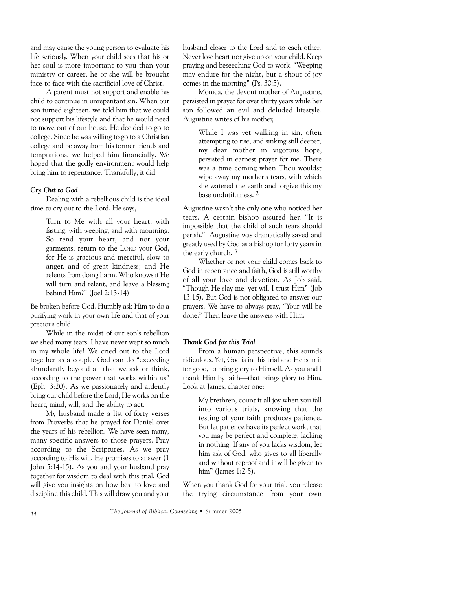and may cause the young person to evaluate his life seriously. When your child sees that his or her soul is more important to you than your ministry or career, he or she will be brought face-to-face with the sacrificial love of Christ.

A parent must not support and enable his child to continue in unrepentant sin. When our son turned eighteen, we told him that we could not support his lifestyle and that he would need to move out of our house. He decided to go to college. Since he was willing to go to a Christian college and be away from his former friends and temptations, we helped him financially. We hoped that the godly environment would help bring him to repentance. Thankfully, it did.

# *Cry Out to God*

Dealing with a rebellious child is the ideal time to cry out to the Lord. He says,

> Turn to Me with all your heart, with fasting, with weeping, and with mourning. So rend your heart, and not your garments; return to the LORD your God, for He is gracious and merciful, slow to anger, and of great kindness; and He relents from doing harm. Who knows if He will turn and relent, and leave a blessing behind Him?" (Joel 2:13-14)

Be broken before God. Humbly ask Him to do a purifying work in your own life and that of your precious child.

While in the midst of our son's rebellion we shed many tears. I have never wept so much in my whole life! We cried out to the Lord together as a couple. God can do "exceeding abundantly beyond all that we ask or think, according to the power that works within us" (Eph. 3:20). As we passionately and ardently bring our child before the Lord, He works on the heart, mind, will, and the ability to act.

My husband made a list of forty verses from Proverbs that he prayed for Daniel over the years of his rebellion. We have seen many, many specific answers to those prayers. Pray according to the Scriptures. As we pray according to His will, He promises to answer (1 John 5:14-15). As you and your husband pray together for wisdom to deal with this trial, God will give you insights on how best to love and discipline this child. This will draw you and your husband closer to the Lord and to each other. Never lose heart nor give up on your child. Keep praying and beseeching God to work. "Weeping may endure for the night, but a shout of joy comes in the morning" (Ps. 30:5).

Monica, the devout mother of Augustine, persisted in prayer for over thirty years while her son followed an evil and deluded lifestyle. Augustine writes of his mother,

> While I was yet walking in sin, often attempting to rise, and sinking still deeper, my dear mother in vigorous hope, persisted in earnest prayer for me. There was a time coming when Thou wouldst wipe away my mother's tears, with which she watered the earth and forgive this my base undutifulness. 2

Augustine wasn't the only one who noticed her tears. A certain bishop assured her, "It is impossible that the child of such tears should perish." Augustine was dramatically saved and greatly used by God as a bishop for forty years in the early church. 3

Whether or not your child comes back to God in repentance and faith, God is still worthy of all your love and devotion. As Job said, "Though He slay me, yet will I trust Him" (Job 13:15). But God is not obligated to answer our prayers. We have to always pray, "Your will be done." Then leave the answers with Him.

# *Thank God for this Trial*

From a human perspective, this sounds ridiculous. Yet, God is in this trial and He is in it for good, to bring glory to Himself. As you and I thank Him by faith—that brings glory to Him. Look at James, chapter one:

> My brethren, count it all joy when you fall into various trials, knowing that the testing of your faith produces patience. But let patience have its perfect work, that you may be perfect and complete, lacking in nothing. If any of you lacks wisdom, let him ask of God, who gives to all liberally and without reproof and it will be given to him" (James 1:2-5).

When you thank God for your trial, you release the trying circumstance from your own